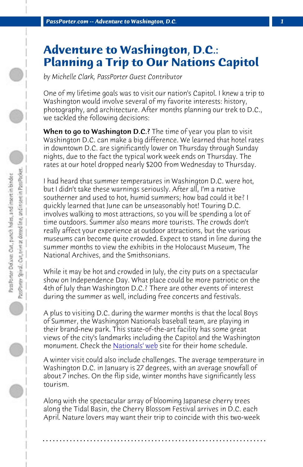*PassPorter.com -- Adventure to Washington, D.C. 1*

## **Adventure to Washington, D.C.: Planning a Trip to Our Nations Capitol**

*by Michelle Clark, PassPorter Guest Contributor*

One of my lifetime goals was to visit our nation's Capitol. I knew a trip to Washington would involve several of my favorite interests: history, photography, and architecture. After months planning our trek to D.C., we tackled the following decisions:

When to go to Washington D.C.? The time of year you plan to visit Washington D.C. can make a big difference. We learned that hotel rates in downtown D.C. are significantly lower on Thursday through Sunday nights, due to the fact the typical work week ends on Thursday. The rates at our hotel dropped nearly \$200 from Wednesday to Thursday.

I had heard that summer temperatures in Washington D.C. were hot, but I didn't take these warnings seriously. After all, I'm a native southerner and used to hot, humid summers; how bad could it be? I quickly learned that Ju[ne can be unse](http://washington.nationals.mlb.com/index.jsp?c_id=was)asonably hot! Touring D.C. involves walking to most attractions, so you will be spending a lot of time outdoors. Summer also means more tourists. The crowds don't really affect your experience at outdoor attractions, but the various museums can become quite crowded. Expect to stand in line during the summer months to view the exhibits in the Holocaust Museum, The National Archives, and the Smithsonians.

While it may be hot and crowded in July, the city puts on a spectacular show on Independence Day. What place could be more patriotic on the 4th of July than Washington D.C.? There are other events of interest during the summer as well, including free concerts and festivals.

A plus to visiting D.C. during the warmer months is that the local Boys of Summer, the Washington Nationals baseball team, are playing in their brand-new park. This state-of-the-art facility has some great views of the city's landmarks including the Capitol and the Washington monument. Check the Nationals' web site for their home schedule.

A winter visit could also include challenges. The average temperature in Washington D.C. in January is 27 degrees, with an average snowfall of about 7 inches. On the flip side, winter months have significantly less tourism.

Along with the spectacular array of blooming Japanese cherry trees along the Tidal Basin, the Cherry Blossom Festival arrives in D.C. each April. Nature lovers may want their trip to coincide with this two-week

**. . . . . . . . . . . . . . . . . . . . . . . . . . . . . . . . . . . . . . . . . . . . . . . . . . . . . . . . . . . . . . . . . .**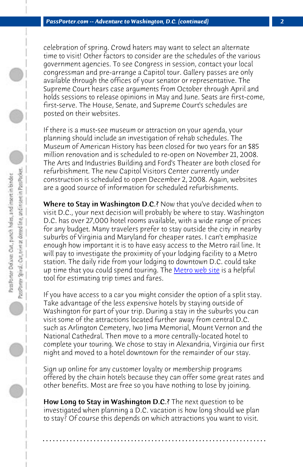*PassPorter.com -- Adventure to Washington, D.C. (continued) 2*

celebration of spring. Crowd haters may want to select an alternate time to visit! Other factors to consider are the schedules of the various government agencies. To see Congress in session, contact your local congressman and pre-arrange a Capitol tour. Gallery passes are only available through the offices of your senator or representative. The Supreme Court hears case arguments from October through April and holds sessions to release opinions in May and June. Seats are first-come, first-serve. The House, Senate, and Supreme Court's schedules are posted on their websites.

If there is a must-see museum or attractio[n on your agend](http://www.wmata.com/)a, your planning should include an investigation of rehab schedules. The Museum of American History has been closed for two years for an \$85 million renovation and is scheduled to re-open on November 21, 2008. The Arts and Industries Building and Ford's Theater are both closed for refurbishment. The new Capitol Visitors Center currently under construction is scheduled to open December 2, 2008. Again, websites are a good source of information for scheduled refurbishments.

Where to Stay in Washington D.C.? Now that you've decided when to visit D.C., your next decision will probably be where to stay. Washington D.C. has over 27,000 hotel rooms available, with a wide range of prices for any budget. Many travelers prefer to stay outside the city in nearby suburbs of Virginia and Maryland for cheaper rates. I can't emphasize enough how important it is to have easy access to the Metro rail line. It will pay to investigate the proximity of your lodging facility to a Metro station. The daily ride from your lodging to downtown D.C. could take up time that you could spend touring. The Metro web site is a helpful tool for estimating trip times and fares.

If you have access to a car you might consider the option of a split stay. Take advantage of the less expensive hotels by staying outside of Washington for part of your trip. During a stay in the suburbs you can visit some of the attractions located further away from central D.C. such as Arlington Cemetery, Iwo Jima Memorial, Mount Vernon and the National Cathedral. Then move to a more centrally-located hotel to complete your touring. We chose to stay in Alexandria, Virginia our first night and moved to a hotel downtown for the remainder of our stay.

Sign up online for any customer loyalty or membership programs offered by the chain hotels because they can offer some great rates and other benefits. Most are free so you have nothing to lose by joining.

How Long to Stay in Washington D.C.? The next question to be investigated when planning a D.C. vacation is how long should we plan to stay? Of course this depends on which attractions you want to visit.

**. . . . . . . . . . . . . . . . . . . . . . . . . . . . . . . . . . . . . . . . . . . . . . . . . . . . . . . . . . . . . . . . . .**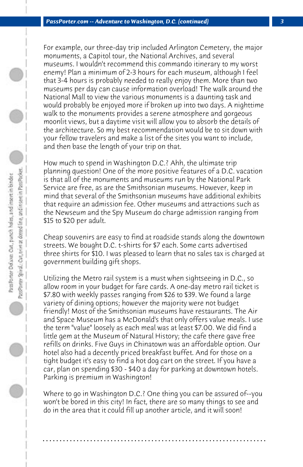For example, our three-day trip included Arlington Cemetery, the major monuments, a Capitol tour, the National Archives, and several museums. I wouldn't recommend this commando itinerary to my worst enemy! Plan a minimum of 2-3 hours for each museum, although I feel that 3-4 hours is probably needed to really enjoy them. More than two museums per day can cause information overload! The walk around the National Mall to view the various monuments is a daunting task and would probably be enjoyed more if broken up into two days. A nighttime walk to the monuments provides a serene atmosphere and gorgeous moonlit views, but a daytime visit will allow you to absorb the details of the architecture. So my best recommendation would be to sit down with your fellow travelers and make a list of the sites you want to include, and then base the length of your trip on that.

How much to spend in Washington D.C.? Ahh, the ultimate trip planning question! One of the more positive features of a D.C. vacation is that all of the monuments and museums run by the National Park Service are free, as are the Smithsonian museums. However, keep in mind that several of the Smithsonian museums have additional exhibits that require an admission fee. Other museums and attractions such as the Newseum and the Spy Museum do charge admission ranging from \$15 to \$20 per adult.

Cheap souvenirs are easy to find at roadside stands along the downtown streets. We bought D.C. t-shirts for \$7 each. Some carts advertised three shirts for \$10. I was pleased to learn that no sales tax is charged at government building gift shops.

Utilizing the Metro rail system is a must when sightseeing in D.C., so allow room in your budget for fare cards. A one-day metro rail ticket is \$7.80 with weekly passes ranging from \$26 to \$39. We found a large variety of dining options; however the majority were not budget friendly! Most of the Smithsonian museums have restaurants. The Air and Space Museum has a McDonald's that only offers value meals. I use the term "value" loosely as each meal was at least \$7.00. We did find a little gem at the Museum of Natural History; the cafe there gave free refills on drinks. Five Guys in Chinatown was an affordable option. Our hotel also had a decently priced breakfast buffet. And for those on a tight budget it's easy to find a hot dog cart on the street. If you have a car, plan on spending \$30 - \$40 a day for parking at downtown hotels. Parking is premium in Washington!

Where to go in Washington D.C.? One thing you can be assured of--you won't be bored in this city! In fact, there are so many things to see and do in the area that it could fill up another article, and it will soon!

**. . . . . . . . . . . . . . . . . . . . . . . . . . . . . . . . . . . . . . . . . . . . . . . . . . . . . . . . . . . . . . . . . .**